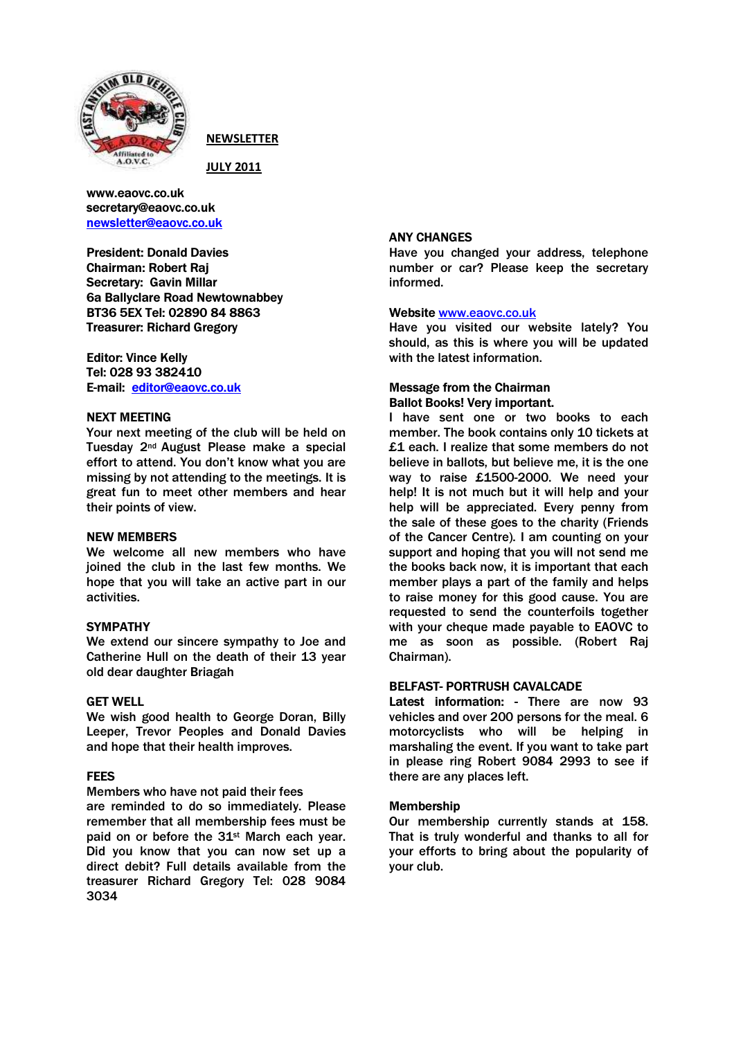

NEWSLETTER

JULY 2011

www.eaovc.co.uk secretary@eaovc.co.uk newsletter@eaovc.co.uk

President: Donald Davies Chairman: Robert Raj Secretary: Gavin Millar 6a Ballyclare Road Newtownabbey BT36 5EX Tel: 02890 84 8863 Treasurer: Richard Gregory

Editor: Vince Kelly Tel: 028 93 382410 E-mail: editor@eaovc.co.uk

## NEXT MEETING

Your next meeting of the club will be held on Tuesday 2nd August Please make a special effort to attend. You don't know what you are missing by not attending to the meetings. It is great fun to meet other members and hear their points of view.

## NEW MEMBERS

We welcome all new members who have joined the club in the last few months. We hope that you will take an active part in our activities.

# **SYMPATHY**

We extend our sincere sympathy to Joe and Catherine Hull on the death of their 13 year old dear daughter Briagah

# GET WELL

We wish good health to George Doran, Billy Leeper, Trevor Peoples and Donald Davies and hope that their health improves.

# FEES

Members who have not paid their fees are reminded to do so immediately. Please remember that all membership fees must be paid on or before the 31st March each year. Did you know that you can now set up a direct debit? Full details available from the treasurer Richard Gregory Tel: 028 9084 3034

## ANY CHANGES

Have you changed your address, telephone number or car? Please keep the secretary informed.

## Website www.eaovc.co.uk

Have you visited our website lately? You should, as this is where you will be updated with the latest information.

## Message from the Chairman Ballot Books! Very important.

I have sent one or two books to each member. The book contains only 10 tickets at £1 each. I realize that some members do not believe in ballots, but believe me, it is the one way to raise £1500-2000. We need your help! It is not much but it will help and your help will be appreciated. Every penny from the sale of these goes to the charity (Friends of the Cancer Centre). I am counting on your support and hoping that you will not send me the books back now, it is important that each member plays a part of the family and helps to raise money for this good cause. You are requested to send the counterfoils together with your cheque made payable to EAOVC to me as soon as possible. (Robert Raj Chairman).

# BELFAST- PORTRUSH CAVALCADE

Latest information: - There are now 93 vehicles and over 200 persons for the meal. 6 motorcyclists who will be helping in marshaling the event. If you want to take part in please ring Robert 9084 2993 to see if there are any places left.

## Membership

Our membership currently stands at 158. That is truly wonderful and thanks to all for your efforts to bring about the popularity of your club.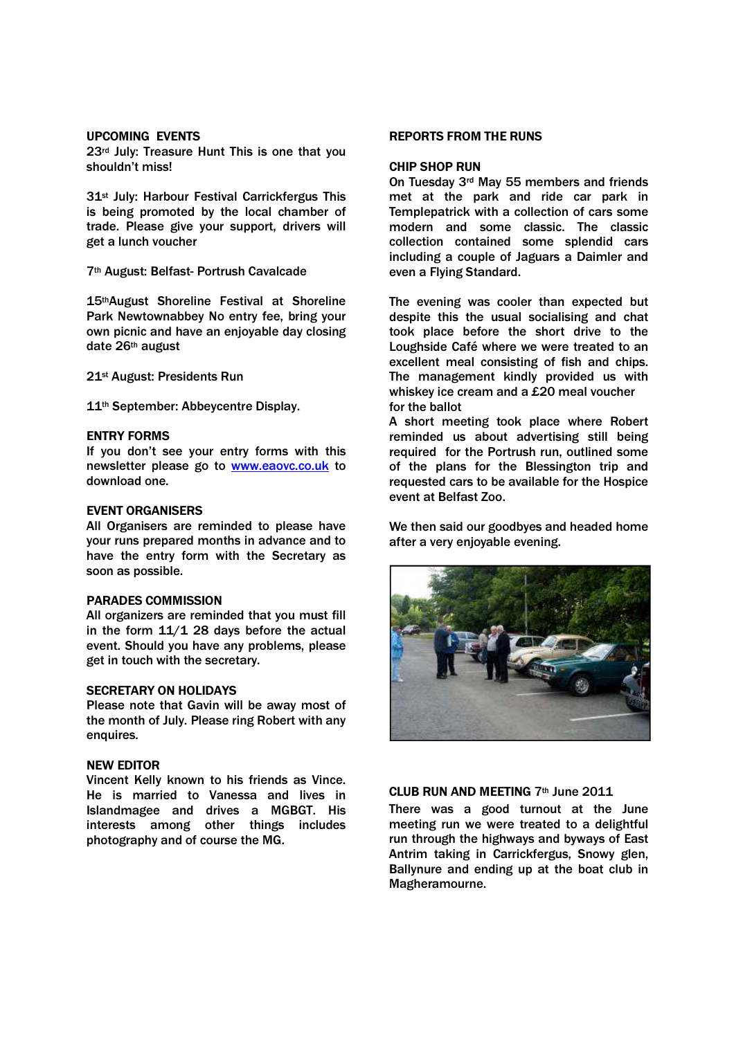### UPCOMING EVENTS

23<sup>rd</sup> July: Treasure Hunt This is one that you shouldn't miss!

31st July: Harbour Festival Carrickfergus This is being promoted by the local chamber of trade. Please give your support, drivers will get a lunch voucher

7th August: Belfast- Portrush Cavalcade

15thAugust Shoreline Festival at Shoreline Park Newtownabbey No entry fee, bring your own picnic and have an enjoyable day closing date 26th august

21st August: Presidents Run

11<sup>th</sup> September: Abbeycentre Display.

### ENTRY FORMS

If you don't see your entry forms with this newsletter please go to www.eaovc.co.uk to download one.

## EVENT ORGANISERS

All Organisers are reminded to please have your runs prepared months in advance and to have the entry form with the Secretary as soon as possible.

### PARADES COMMISSION

All organizers are reminded that you must fill in the form  $11/1$  28 days before the actual event. Should you have any problems, please get in touch with the secretary.

#### SECRETARY ON HOLIDAYS

Please note that Gavin will be away most of the month of July. Please ring Robert with any enquires.

# NEW EDITOR

Vincent Kelly known to his friends as Vince. He is married to Vanessa and lives in Islandmagee and drives a MGBGT. His interests among other things includes photography and of course the MG.

### REPORTS FROM THE RUNS

#### CHIP SHOP RUN

On Tuesday 3rd May 55 members and friends met at the park and ride car park in Templepatrick with a collection of cars some modern and some classic. The classic collection contained some splendid cars including a couple of Jaguars a Daimler and even a Flying Standard.

The evening was cooler than expected but despite this the usual socialising and chat took place before the short drive to the Loughside Café where we were treated to an excellent meal consisting of fish and chips. The management kindly provided us with whiskey ice cream and a £20 meal voucher for the ballot

A short meeting took place where Robert reminded us about advertising still being required for the Portrush run, outlined some of the plans for the Blessington trip and requested cars to be available for the Hospice event at Belfast Zoo.

We then said our goodbyes and headed home after a very enjoyable evening.



# CLUB RUN AND MEETING 7th June 2011

There was a good turnout at the June meeting run we were treated to a delightful run through the highways and byways of East Antrim taking in Carrickfergus, Snowy glen, Ballynure and ending up at the boat club in Magheramourne.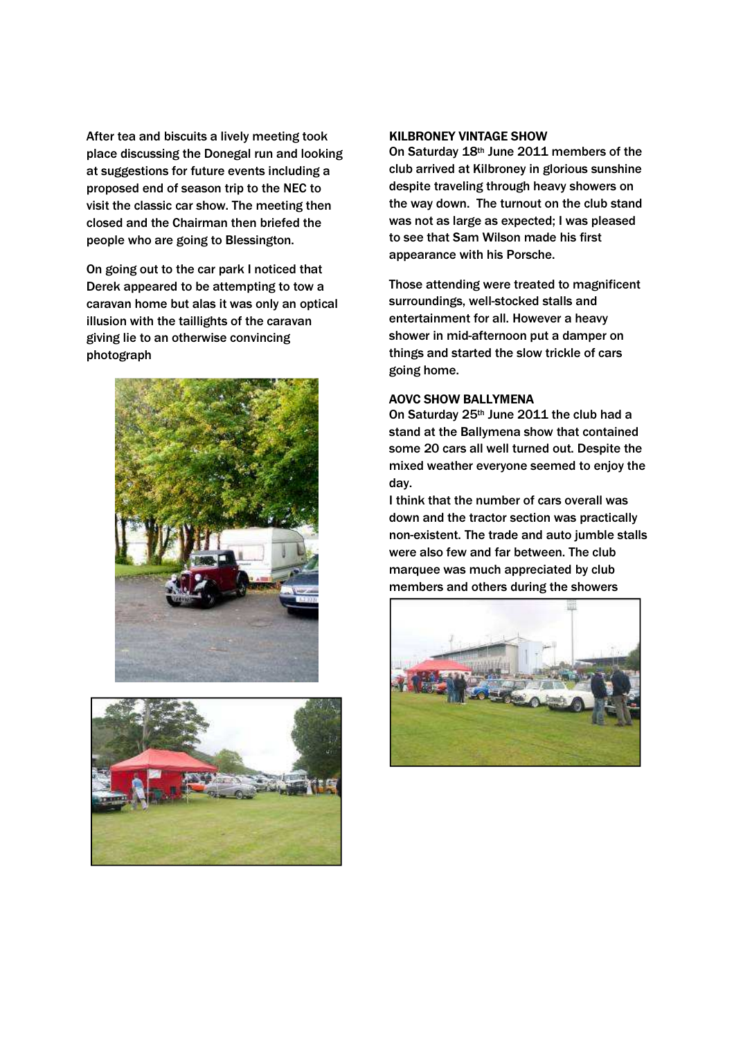After tea and biscuits a lively meeting took place discussing the Donegal run and looking at suggestions for future events including a proposed end of season trip to the NEC to visit the classic car show. The meeting then closed and the Chairman then briefed the people who are going to Blessington.

On going out to the car park I noticed that Derek appeared to be attempting to tow a caravan home but alas it was only an optical illusion with the taillights of the caravan giving lie to an otherwise convincing photograph





# KILBRONEY VINTAGE SHOW

On Saturday 18th June 2011 members of the club arrived at Kilbroney in glorious sunshine despite traveling through heavy showers on the way down. The turnout on the club stand was not as large as expected; I was pleased to see that Sam Wilson made his first appearance with his Porsche.

Those attending were treated to magnificent surroundings, well-stocked stalls and entertainment for all. However a heavy shower in mid-afternoon put a damper on things and started the slow trickle of cars going home.

## AOVC SHOW BALLYMENA

On Saturday 25<sup>th</sup> June 2011 the club had a stand at the Ballymena show that contained some 20 cars all well turned out. Despite the mixed weather everyone seemed to enjoy the day.

I think that the number of cars overall was down and the tractor section was practically non-existent. The trade and auto jumble stalls were also few and far between. The club marquee was much appreciated by club members and others during the showers